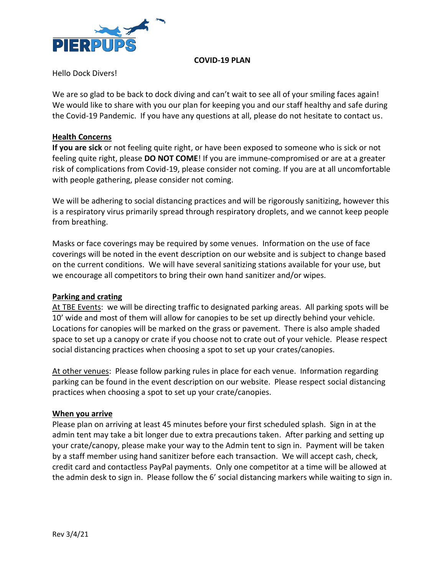

#### **COVID-19 PLAN**

Hello Dock Divers!

We are so glad to be back to dock diving and can't wait to see all of your smiling faces again! We would like to share with you our plan for keeping you and our staff healthy and safe during the Covid-19 Pandemic. If you have any questions at all, please do not hesitate to contact us.

### **Health Concerns**

**If you are sick** or not feeling quite right, or have been exposed to someone who is sick or not feeling quite right, please **DO NOT COME**! If you are immune-compromised or are at a greater risk of complications from Covid-19, please consider not coming. If you are at all uncomfortable with people gathering, please consider not coming.

We will be adhering to social distancing practices and will be rigorously sanitizing, however this is a respiratory virus primarily spread through respiratory droplets, and we cannot keep people from breathing.

Masks or face coverings may be required by some venues. Information on the use of face coverings will be noted in the event description on our website and is subject to change based on the current conditions. We will have several sanitizing stations available for your use, but we encourage all competitors to bring their own hand sanitizer and/or wipes.

### **Parking and crating**

At TBE Events: we will be directing traffic to designated parking areas. All parking spots will be 10' wide and most of them will allow for canopies to be set up directly behind your vehicle. Locations for canopies will be marked on the grass or pavement. There is also ample shaded space to set up a canopy or crate if you choose not to crate out of your vehicle. Please respect social distancing practices when choosing a spot to set up your crates/canopies.

At other venues: Please follow parking rules in place for each venue. Information regarding parking can be found in the event description on our website. Please respect social distancing practices when choosing a spot to set up your crate/canopies.

### **When you arrive**

Please plan on arriving at least 45 minutes before your first scheduled splash. Sign in at the admin tent may take a bit longer due to extra precautions taken. After parking and setting up your crate/canopy, please make your way to the Admin tent to sign in. Payment will be taken by a staff member using hand sanitizer before each transaction. We will accept cash, check, credit card and contactless PayPal payments. Only one competitor at a time will be allowed at the admin desk to sign in. Please follow the 6' social distancing markers while waiting to sign in.